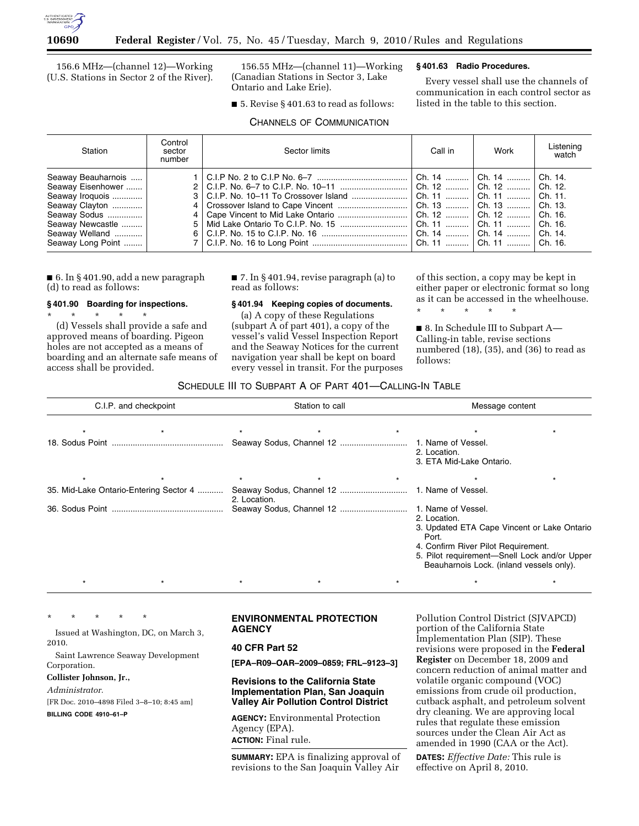

156.6 MHz—(channel 12)—Working (U.S. Stations in Sector 2 of the River).

156.55 MHz—(channel 11)—Working (Canadian Stations in Sector 3, Lake Ontario and Lake Erie).

■ 5. Revise § 401.63 to read as follows: CHANNELS OF COMMUNICATION

## **§ 401.63 Radio Procedures.**

Every vessel shall use the channels of communication in each control sector as listed in the table to this section.

| Station                                                                                                                                                    | Control<br>sector<br>number | Sector limits | Call in | Work                                                                                                                                                                                                                                                 | Listening<br>watch |
|------------------------------------------------------------------------------------------------------------------------------------------------------------|-----------------------------|---------------|---------|------------------------------------------------------------------------------------------------------------------------------------------------------------------------------------------------------------------------------------------------------|--------------------|
| Seaway Beauharnois<br>Seaway Eisenhower<br>Seaway Iroquois<br>Seaway Clayton<br>Seaway Sodus   <br>Seaway Newcastle<br>Seaway Welland<br>Seaway Long Point |                             |               |         | Ch. 14    Ch. 14    Ch. 14.<br>Ch. 12    Ch. 12    Ch. 12.<br>Ch. 11    Ch. 11    Ch. 11.<br>Ch. 13    Ch. 13    Ch. 13.<br>Ch. 12    Ch. 12    Ch. 16.<br>Ch. 11    Ch. 11    Ch. 16.<br>Ch. 14    Ch. 14    Ch. 14.<br>Ch. 11    Ch. 11    Ch. 16. |                    |

■ 6. In § 401.90, add a new paragraph (d) to read as follows:

## **§ 401.90 Boarding for inspections.**

\* \* \* \* \* (d) Vessels shall provide a safe and approved means of boarding. Pigeon holes are not accepted as a means of boarding and an alternate safe means of access shall be provided.

■ 7. In §401.94, revise paragraph (a) to read as follows:

# **§ 401.94 Keeping copies of documents.**

(a) A copy of these Regulations (subpart A of part 401), a copy of the vessel's valid Vessel Inspection Report and the Seaway Notices for the current navigation year shall be kept on board every vessel in transit. For the purposes

of this section, a copy may be kept in either paper or electronic format so long as it can be accessed in the wheelhouse.

\* \* \* \* \*

■ 8. In Schedule III to Subpart A— Calling-in table, revise sections numbered (18), (35), and (36) to read as follows:

## SCHEDULE III TO SUBPART A OF PART 401—CALLING-IN TABLE

|         | C.I.P. and checkpoint                  | Station to call |         |  | Message content                                                                                                                                                                                         |  |  |
|---------|----------------------------------------|-----------------|---------|--|---------------------------------------------------------------------------------------------------------------------------------------------------------------------------------------------------------|--|--|
|         |                                        |                 |         |  |                                                                                                                                                                                                         |  |  |
|         |                                        |                 |         |  | 1. Name of Vessel.<br>2. Location.<br>3. ETA Mid-Lake Ontario.                                                                                                                                          |  |  |
| $\star$ |                                        | $\star$         | $\star$ |  |                                                                                                                                                                                                         |  |  |
|         | 35. Mid-Lake Ontario-Entering Sector 4 | 2. Location.    |         |  | 1. Name of Vessel.                                                                                                                                                                                      |  |  |
|         |                                        |                 |         |  | 2. Location.<br>3. Updated ETA Cape Vincent or Lake Ontario<br>Port.<br>4. Confirm River Pilot Requirement.<br>5. Pilot requirement-Snell Lock and/or Upper<br>Beauharnois Lock. (inland vessels only). |  |  |
|         |                                        |                 |         |  |                                                                                                                                                                                                         |  |  |

\* \* \* \* \*

Issued at Washington, DC, on March 3, 2010.

Saint Lawrence Seaway Development Corporation.

#### **Collister Johnson, Jr.,**

*Administrator.* 

[FR Doc. 2010–4898 Filed 3–8–10; 8:45 am]

**BILLING CODE 4910–61–P** 

## **ENVIRONMENTAL PROTECTION AGENCY**

## **40 CFR Part 52**

**[EPA–R09–OAR–2009–0859; FRL–9123–3]** 

**Revisions to the California State Implementation Plan, San Joaquin Valley Air Pollution Control District** 

**AGENCY:** Environmental Protection Agency (EPA). **ACTION:** Final rule.

**SUMMARY:** EPA is finalizing approval of revisions to the San Joaquin Valley Air

Pollution Control District (SJVAPCD) portion of the California State Implementation Plan (SIP). These revisions were proposed in the **Federal Register** on December 18, 2009 and concern reduction of animal matter and volatile organic compound (VOC) emissions from crude oil production, cutback asphalt, and petroleum solvent dry cleaning. We are approving local rules that regulate these emission sources under the Clean Air Act as amended in 1990 (CAA or the Act).

**DATES:** *Effective Date:* This rule is effective on April 8, 2010.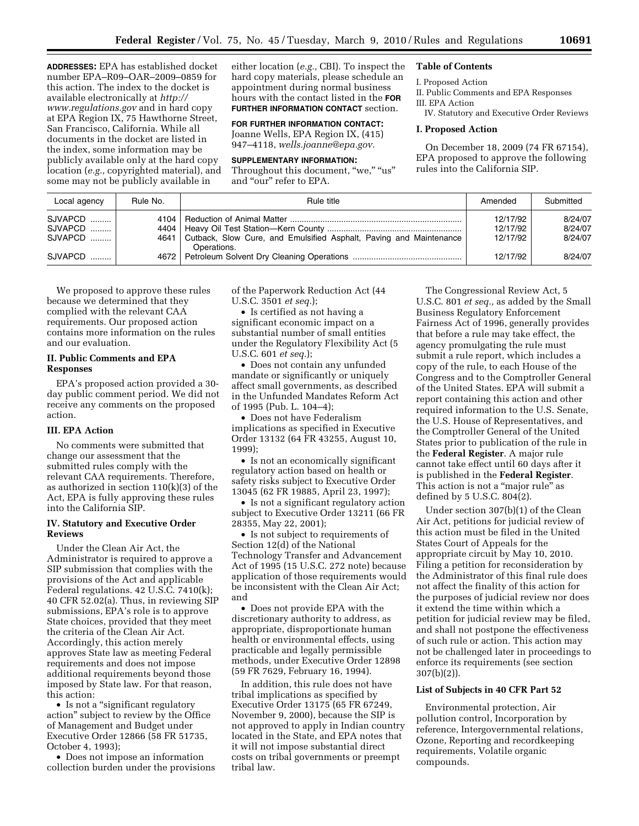**ADDRESSES:** EPA has established docket number EPA–R09–OAR–2009–0859 for this action. The index to the docket is available electronically at *http:// www.regulations.gov* and in hard copy at EPA Region IX, 75 Hawthorne Street, San Francisco, California. While all documents in the docket are listed in the index, some information may be publicly available only at the hard copy location (*e.g.,* copyrighted material), and some may not be publicly available in

either location (*e.g.,* CBI). To inspect the hard copy materials, please schedule an appointment during normal business hours with the contact listed in the **FOR FURTHER INFORMATION CONTACT** section.

## **FOR FURTHER INFORMATION CONTACT:**

Joanne Wells, EPA Region IX, (415) 947–4118, *wells.joanne@epa.gov.* 

#### **SUPPLEMENTARY INFORMATION:**

Throughout this document, "we," "us" and "our" refer to EPA.

# **Table of Contents**

## I. Proposed Action

II. Public Comments and EPA Responses III. EPA Action

IV. Statutory and Executive Order Reviews

#### **I. Proposed Action**

On December 18, 2009 (74 FR 67154), EPA proposed to approve the following rules into the California SIP.

| Local agency       | Rule No. | Rule title                                                                             | Amended              | Submitted          |
|--------------------|----------|----------------------------------------------------------------------------------------|----------------------|--------------------|
| SJVAPCD<br>SJVAPCD |          |                                                                                        | 12/17/92<br>12/17/92 | 8/24/07<br>8/24/07 |
| SJVAPCD  '         |          | 4641 Cutback, Slow Cure, and Emulsified Asphalt, Paving and Maintenance<br>Operations. | 12/17/92             | 8/24/07            |
| SJVAPCD            |          |                                                                                        | 12/17/92             | 8/24/07            |

We proposed to approve these rules because we determined that they complied with the relevant CAA requirements. Our proposed action contains more information on the rules and our evaluation.

## **II. Public Comments and EPA Responses**

EPA's proposed action provided a 30 day public comment period. We did not receive any comments on the proposed action.

#### **III. EPA Action**

No comments were submitted that change our assessment that the submitted rules comply with the relevant CAA requirements. Therefore, as authorized in section 110(k)(3) of the Act, EPA is fully approving these rules into the California SIP.

#### **IV. Statutory and Executive Order Reviews**

Under the Clean Air Act, the Administrator is required to approve a SIP submission that complies with the provisions of the Act and applicable Federal regulations. 42 U.S.C. 7410(k); 40 CFR 52.02(a). Thus, in reviewing SIP submissions, EPA's role is to approve State choices, provided that they meet the criteria of the Clean Air Act. Accordingly, this action merely approves State law as meeting Federal requirements and does not impose additional requirements beyond those imposed by State law. For that reason, this action:

• Is not a "significant regulatory action'' subject to review by the Office of Management and Budget under Executive Order 12866 (58 FR 51735, October 4, 1993);

• Does not impose an information collection burden under the provisions of the Paperwork Reduction Act (44 U.S.C. 3501 *et seq.*);

• Is certified as not having a significant economic impact on a substantial number of small entities under the Regulatory Flexibility Act (5 U.S.C. 601 *et seq.*);

• Does not contain any unfunded mandate or significantly or uniquely affect small governments, as described in the Unfunded Mandates Reform Act of 1995 (Pub. L. 104–4);

• Does not have Federalism implications as specified in Executive Order 13132 (64 FR 43255, August 10, 1999);

• Is not an economically significant regulatory action based on health or safety risks subject to Executive Order 13045 (62 FR 19885, April 23, 1997);

• Is not a significant regulatory action subject to Executive Order 13211 (66 FR 28355, May 22, 2001);

• Is not subject to requirements of Section 12(d) of the National Technology Transfer and Advancement Act of 1995 (15 U.S.C. 272 note) because application of those requirements would be inconsistent with the Clean Air Act; and

• Does not provide EPA with the discretionary authority to address, as appropriate, disproportionate human health or environmental effects, using practicable and legally permissible methods, under Executive Order 12898 (59 FR 7629, February 16, 1994).

In addition, this rule does not have tribal implications as specified by Executive Order 13175 (65 FR 67249, November 9, 2000), because the SIP is not approved to apply in Indian country located in the State, and EPA notes that it will not impose substantial direct costs on tribal governments or preempt tribal law.

The Congressional Review Act, 5 U.S.C. 801 *et seq.,* as added by the Small Business Regulatory Enforcement Fairness Act of 1996, generally provides that before a rule may take effect, the agency promulgating the rule must submit a rule report, which includes a copy of the rule, to each House of the Congress and to the Comptroller General of the United States. EPA will submit a report containing this action and other required information to the U.S. Senate, the U.S. House of Representatives, and the Comptroller General of the United States prior to publication of the rule in the **Federal Register**. A major rule cannot take effect until 60 days after it is published in the **Federal Register**. This action is not a "major rule" as defined by 5 U.S.C. 804(2).

Under section 307(b)(1) of the Clean Air Act, petitions for judicial review of this action must be filed in the United States Court of Appeals for the appropriate circuit by May 10, 2010. Filing a petition for reconsideration by the Administrator of this final rule does not affect the finality of this action for the purposes of judicial review nor does it extend the time within which a petition for judicial review may be filed, and shall not postpone the effectiveness of such rule or action. This action may not be challenged later in proceedings to enforce its requirements (see section 307(b)(2)).

#### **List of Subjects in 40 CFR Part 52**

Environmental protection, Air pollution control, Incorporation by reference, Intergovernmental relations, Ozone, Reporting and recordkeeping requirements, Volatile organic compounds.